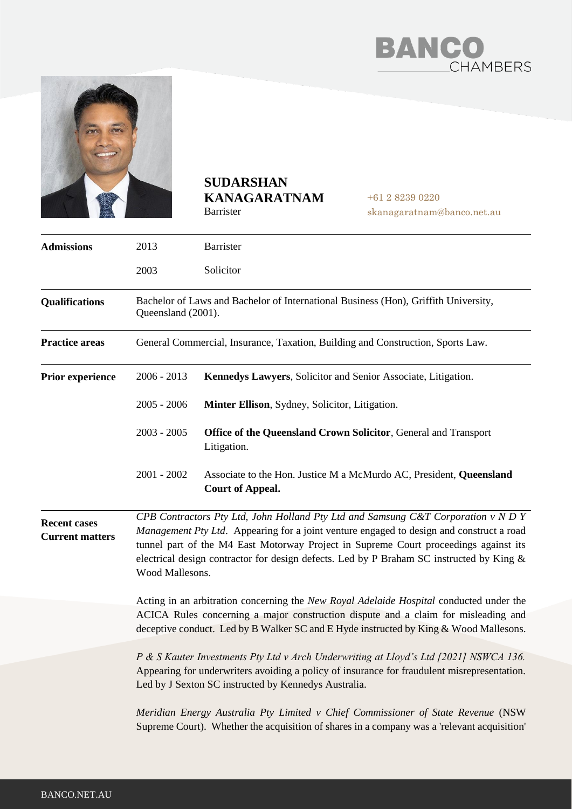



## **SUDARSHAN KANAGARATNAM** Barrister

+61 2 8239 0220 skanagaratnam@banco.net.au

| <b>Admissions</b>                             | 2013                                                                                                                                                                                                                                                                                                                                                                                 | Barrister                                                                                                                                                                       |
|-----------------------------------------------|--------------------------------------------------------------------------------------------------------------------------------------------------------------------------------------------------------------------------------------------------------------------------------------------------------------------------------------------------------------------------------------|---------------------------------------------------------------------------------------------------------------------------------------------------------------------------------|
|                                               | 2003                                                                                                                                                                                                                                                                                                                                                                                 | Solicitor                                                                                                                                                                       |
| <b>Qualifications</b>                         | Bachelor of Laws and Bachelor of International Business (Hon), Griffith University,<br>Queensland (2001).                                                                                                                                                                                                                                                                            |                                                                                                                                                                                 |
| <b>Practice areas</b>                         | General Commercial, Insurance, Taxation, Building and Construction, Sports Law.                                                                                                                                                                                                                                                                                                      |                                                                                                                                                                                 |
| <b>Prior experience</b>                       | $2006 - 2013$                                                                                                                                                                                                                                                                                                                                                                        | Kennedys Lawyers, Solicitor and Senior Associate, Litigation.                                                                                                                   |
|                                               | $2005 - 2006$                                                                                                                                                                                                                                                                                                                                                                        | Minter Ellison, Sydney, Solicitor, Litigation.                                                                                                                                  |
|                                               | $2003 - 2005$                                                                                                                                                                                                                                                                                                                                                                        | Office of the Queensland Crown Solicitor, General and Transport<br>Litigation.                                                                                                  |
|                                               | $2001 - 2002$                                                                                                                                                                                                                                                                                                                                                                        | Associate to the Hon. Justice M a McMurdo AC, President, Queensland<br><b>Court of Appeal.</b>                                                                                  |
| <b>Recent cases</b><br><b>Current matters</b> | CPB Contractors Pty Ltd, John Holland Pty Ltd and Samsung C&T Corporation v N D Y<br>Management Pty Ltd. Appearing for a joint venture engaged to design and construct a road<br>tunnel part of the M4 East Motorway Project in Supreme Court proceedings against its<br>electrical design contractor for design defects. Led by P Braham SC instructed by King &<br>Wood Mallesons. |                                                                                                                                                                                 |
|                                               | Acting in an arbitration concerning the New Royal Adelaide Hospital conducted under the<br>ACICA Rules concerning a major construction dispute and a claim for misleading and<br>deceptive conduct. Led by B Walker SC and E Hyde instructed by King & Wood Mallesons.                                                                                                               |                                                                                                                                                                                 |
|                                               | P & S Kauter Investments Pty Ltd v Arch Underwriting at Lloyd's Ltd [2021] NSWCA 136.<br>Appearing for underwriters avoiding a policy of insurance for fraudulent misrepresentation.<br>Led by J Sexton SC instructed by Kennedys Australia.                                                                                                                                         |                                                                                                                                                                                 |
|                                               |                                                                                                                                                                                                                                                                                                                                                                                      | Meridian Energy Australia Pty Limited v Chief Commissioner of State Revenue (NSW<br>Supreme Court). Whether the acquisition of shares in a company was a 'relevant acquisition' |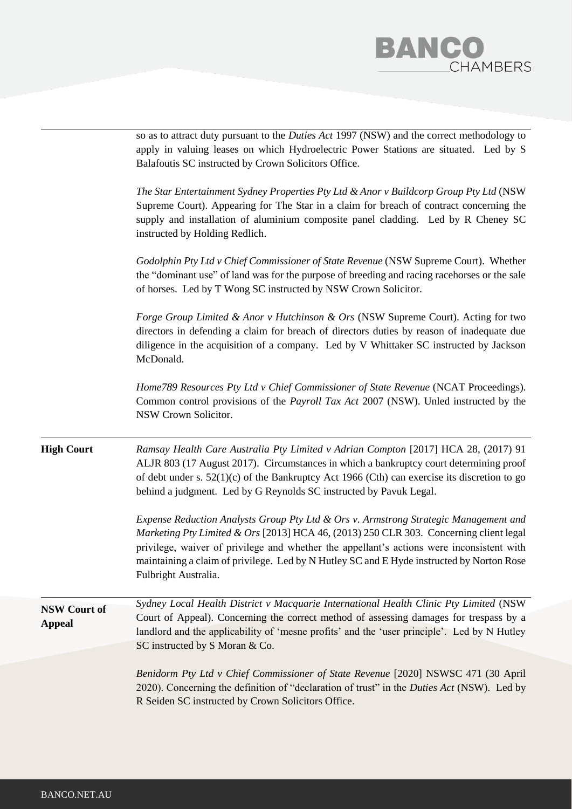

|                                      | Benidorm Pty Ltd v Chief Commissioner of State Revenue [2020] NSWSC 471 (30 April<br>2020). Concerning the definition of "declaration of trust" in the <i>Duties Act</i> (NSW). Led by<br>R Seiden SC instructed by Crown Solicitors Office.                                                                                                                                                     |
|--------------------------------------|--------------------------------------------------------------------------------------------------------------------------------------------------------------------------------------------------------------------------------------------------------------------------------------------------------------------------------------------------------------------------------------------------|
| <b>NSW Court of</b><br><b>Appeal</b> | Sydney Local Health District v Macquarie International Health Clinic Pty Limited (NSW<br>Court of Appeal). Concerning the correct method of assessing damages for trespass by a<br>landlord and the applicability of 'mesne profits' and the 'user principle'. Led by N Hutley<br>SC instructed by S Moran & Co.                                                                                 |
|                                      | Expense Reduction Analysts Group Pty Ltd & Ors v. Armstrong Strategic Management and<br>Marketing Pty Limited & Ors [2013] HCA 46, (2013) 250 CLR 303. Concerning client legal<br>privilege, waiver of privilege and whether the appellant's actions were inconsistent with<br>maintaining a claim of privilege. Led by N Hutley SC and E Hyde instructed by Norton Rose<br>Fulbright Australia. |
| <b>High Court</b>                    | Ramsay Health Care Australia Pty Limited v Adrian Compton [2017] HCA 28, (2017) 91<br>ALJR 803 (17 August 2017). Circumstances in which a bankruptcy court determining proof<br>of debt under s. $52(1)(c)$ of the Bankruptcy Act 1966 (Cth) can exercise its discretion to go<br>behind a judgment. Led by G Reynolds SC instructed by Pavuk Legal.                                             |
|                                      | Home789 Resources Pty Ltd v Chief Commissioner of State Revenue (NCAT Proceedings).<br>Common control provisions of the <i>Payroll Tax Act</i> 2007 (NSW). Unled instructed by the<br>NSW Crown Solicitor.                                                                                                                                                                                       |
|                                      | Forge Group Limited & Anor v Hutchinson & Ors (NSW Supreme Court). Acting for two<br>directors in defending a claim for breach of directors duties by reason of inadequate due<br>diligence in the acquisition of a company. Led by V Whittaker SC instructed by Jackson<br>McDonald.                                                                                                            |
|                                      | Godolphin Pty Ltd v Chief Commissioner of State Revenue (NSW Supreme Court). Whether<br>the "dominant use" of land was for the purpose of breeding and racing racehorses or the sale<br>of horses. Led by T Wong SC instructed by NSW Crown Solicitor.                                                                                                                                           |
|                                      | The Star Entertainment Sydney Properties Pty Ltd & Anor v Buildcorp Group Pty Ltd (NSW<br>Supreme Court). Appearing for The Star in a claim for breach of contract concerning the<br>supply and installation of aluminium composite panel cladding. Led by R Cheney SC<br>instructed by Holding Redlich.                                                                                         |
|                                      | so as to attract duty pursuant to the Duties Act 1997 (NSW) and the correct methodology to<br>apply in valuing leases on which Hydroelectric Power Stations are situated. Led by S<br>Balafoutis SC instructed by Crown Solicitors Office.                                                                                                                                                       |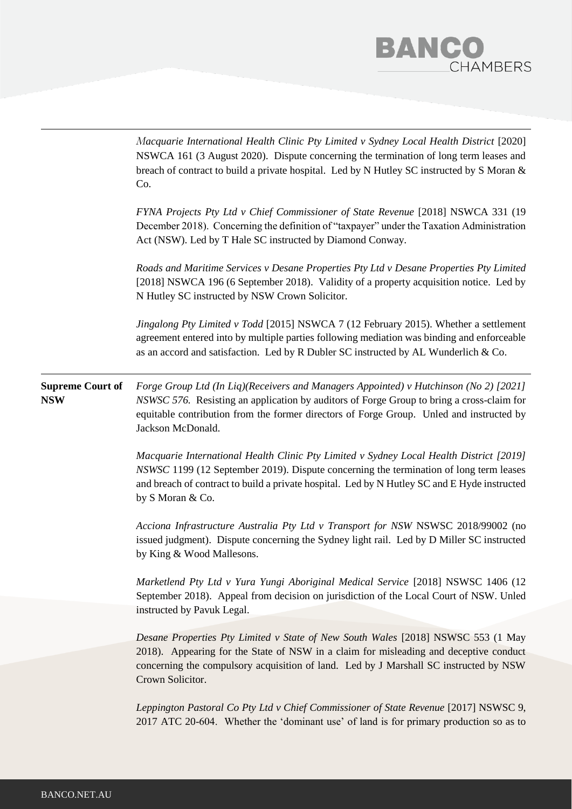

|                                       | Macquarie International Health Clinic Pty Limited v Sydney Local Health District [2020]<br>NSWCA 161 (3 August 2020). Dispute concerning the termination of long term leases and<br>breach of contract to build a private hospital. Led by N Hutley SC instructed by S Moran &<br>Co.                        |
|---------------------------------------|--------------------------------------------------------------------------------------------------------------------------------------------------------------------------------------------------------------------------------------------------------------------------------------------------------------|
|                                       | FYNA Projects Pty Ltd v Chief Commissioner of State Revenue [2018] NSWCA 331 (19<br>December 2018). Concerning the definition of "taxpayer" under the Taxation Administration<br>Act (NSW). Led by T Hale SC instructed by Diamond Conway.                                                                   |
|                                       | Roads and Maritime Services v Desane Properties Pty Ltd v Desane Properties Pty Limited<br>[2018] NSWCA 196 (6 September 2018). Validity of a property acquisition notice. Led by<br>N Hutley SC instructed by NSW Crown Solicitor.                                                                          |
|                                       | Jingalong Pty Limited v Todd [2015] NSWCA 7 (12 February 2015). Whether a settlement<br>agreement entered into by multiple parties following mediation was binding and enforceable<br>as an accord and satisfaction. Led by R Dubler SC instructed by AL Wunderlich & Co.                                    |
| <b>Supreme Court of</b><br><b>NSW</b> | Forge Group Ltd (In Liq)(Receivers and Managers Appointed) v Hutchinson (No 2) [2021]<br><i>NSWSC 576.</i> Resisting an application by auditors of Forge Group to bring a cross-claim for<br>equitable contribution from the former directors of Forge Group. Unled and instructed by<br>Jackson McDonald.   |
|                                       | Macquarie International Health Clinic Pty Limited v Sydney Local Health District [2019]<br><i>NSWSC</i> 1199 (12 September 2019). Dispute concerning the termination of long term leases<br>and breach of contract to build a private hospital. Led by N Hutley SC and E Hyde instructed<br>by S Moran & Co. |
|                                       | Acciona Infrastructure Australia Pty Ltd v Transport for NSW NSWSC 2018/99002 (no<br>issued judgment). Dispute concerning the Sydney light rail. Led by D Miller SC instructed<br>by King & Wood Mallesons.                                                                                                  |
|                                       | Marketlend Pty Ltd v Yura Yungi Aboriginal Medical Service [2018] NSWSC 1406 (12<br>September 2018). Appeal from decision on jurisdiction of the Local Court of NSW. Unled<br>instructed by Pavuk Legal.                                                                                                     |
|                                       | Desane Properties Pty Limited v State of New South Wales [2018] NSWSC 553 (1 May<br>2018). Appearing for the State of NSW in a claim for misleading and deceptive conduct<br>concerning the compulsory acquisition of land. Led by J Marshall SC instructed by NSW<br>Crown Solicitor.                       |
|                                       | Leppington Pastoral Co Pty Ltd v Chief Commissioner of State Revenue [2017] NSWSC 9,<br>2017 ATC 20-604. Whether the 'dominant use' of land is for primary production so as to                                                                                                                               |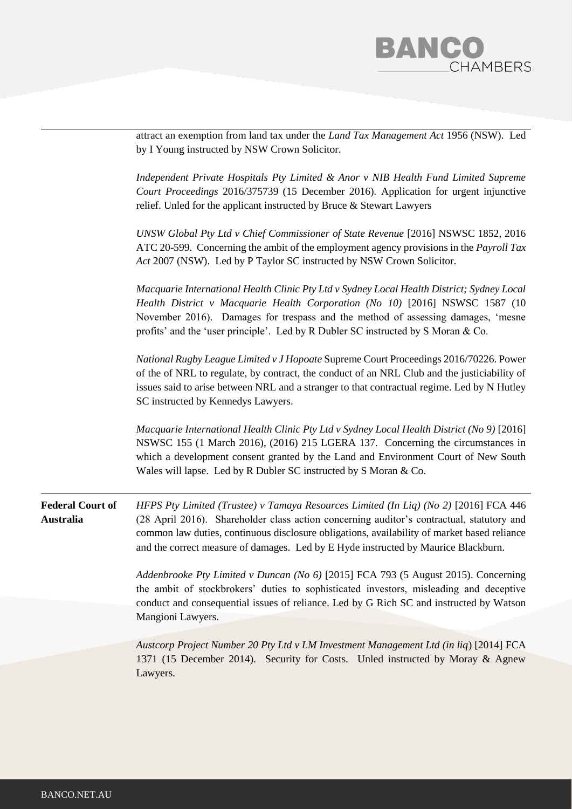

|                                      | attract an exemption from land tax under the <i>Land Tax Management Act</i> 1956 (NSW). Led<br>by I Young instructed by NSW Crown Solicitor.                                                                                                                                                                                                                           |
|--------------------------------------|------------------------------------------------------------------------------------------------------------------------------------------------------------------------------------------------------------------------------------------------------------------------------------------------------------------------------------------------------------------------|
|                                      | Independent Private Hospitals Pty Limited & Anor v NIB Health Fund Limited Supreme<br>Court Proceedings 2016/375739 (15 December 2016). Application for urgent injunctive<br>relief. Unled for the applicant instructed by Bruce & Stewart Lawyers                                                                                                                     |
|                                      | UNSW Global Pty Ltd v Chief Commissioner of State Revenue [2016] NSWSC 1852, 2016<br>ATC 20-599. Concerning the ambit of the employment agency provisions in the <i>Payroll Tax</i><br>Act 2007 (NSW). Led by P Taylor SC instructed by NSW Crown Solicitor.                                                                                                           |
|                                      | Macquarie International Health Clinic Pty Ltd v Sydney Local Health District; Sydney Local<br>Health District v Macquarie Health Corporation (No 10) [2016] NSWSC 1587 (10<br>November 2016). Damages for trespass and the method of assessing damages, 'mesne<br>profits' and the 'user principle'. Led by R Dubler SC instructed by S Moran & Co.                    |
|                                      | National Rugby League Limited v J Hopoate Supreme Court Proceedings 2016/70226. Power<br>of the of NRL to regulate, by contract, the conduct of an NRL Club and the justiciability of<br>issues said to arise between NRL and a stranger to that contractual regime. Led by N Hutley<br>SC instructed by Kennedys Lawyers.                                             |
|                                      | Macquarie International Health Clinic Pty Ltd v Sydney Local Health District (No 9) [2016]<br>NSWSC 155 (1 March 2016), (2016) 215 LGERA 137. Concerning the circumstances in<br>which a development consent granted by the Land and Environment Court of New South<br>Wales will lapse. Led by R Dubler SC instructed by S Moran & Co.                                |
| <b>Federal Court of</b><br>Australia | HFPS Pty Limited (Trustee) v Tamaya Resources Limited (In Liq) (No 2) [2016] FCA 446<br>(28 April 2016). Shareholder class action concerning auditor's contractual, statutory and<br>common law duties, continuous disclosure obligations, availability of market based reliance<br>and the correct measure of damages. Led by E Hyde instructed by Maurice Blackburn. |
|                                      | Addenbrooke Pty Limited v Duncan (No 6) [2015] FCA 793 (5 August 2015). Concerning<br>the ambit of stockbrokers' duties to sophisticated investors, misleading and deceptive<br>conduct and consequential issues of reliance. Led by G Rich SC and instructed by Watson<br>Mangioni Lawyers.                                                                           |
|                                      |                                                                                                                                                                                                                                                                                                                                                                        |
|                                      | Austcorp Project Number 20 Pty Ltd v LM Investment Management Ltd (in liq) [2014] FCA<br>1371 (15 December 2014). Security for Costs. Unled instructed by Moray & Agnew<br>Lawyers.                                                                                                                                                                                    |